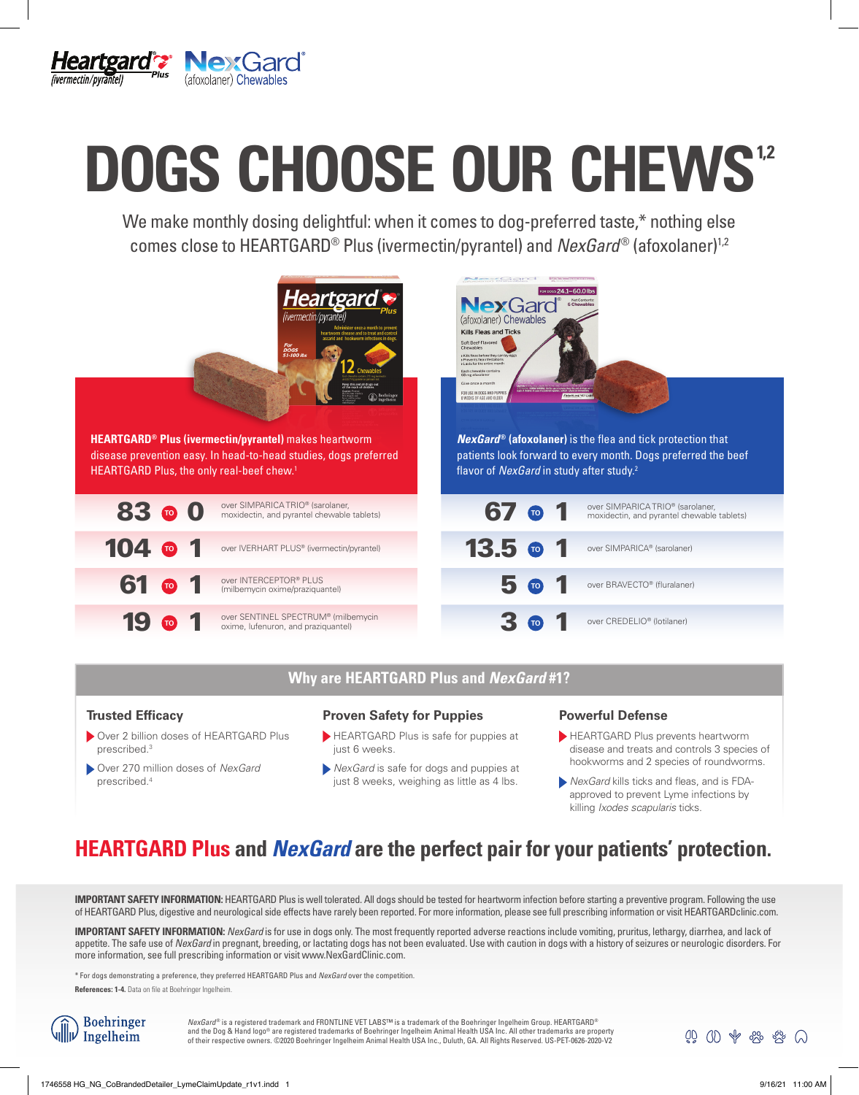

# DOGS CHOOSE OUR CHEWS<sup>12</sup>

We make monthly dosing delightful: when it comes to dog-preferred taste,\* nothing else comes close to HEARTGARD<sup>®</sup> Plus (ivermectin/pyrantel) and *NexGard*<sup>®</sup> (afoxolaner)<sup>1,2</sup>



# **Why are HEARTGARD Plus and** *NexGard* **#1?**

# **Trusted Efficacy**

- Over 2 billion doses of HEARTGARD Plus prescribed.3
- Over 270 million doses of *NexGard* prescribed.4

# **Proven Safety for Puppies**

- HEARTGARD Plus is safe for puppies at just 6 weeks.
- *NexGard* is safe for dogs and puppies at just 8 weeks, weighing as little as 4 lbs.

# **Powerful Defense**

- HEARTGARD Plus prevents heartworm disease and treats and controls 3 species of hookworms and 2 species of roundworms.
- *NexGard* kills ticks and fleas, and is FDAapproved to prevent Lyme infections by killing *Ixodes scapularis* ticks.

Q QD \$ \$ \$ \$ Q

# **HEARTGARD Plus and** *NexGard* **are the perfect pair for your patients' protection.**

**IMPORTANT SAFETY INFORMATION:** HEARTGARD Plus is well tolerated. All dogs should be tested for heartworm infection before starting a preventive program. Following the use of HEARTGARD Plus, digestive and neurological side effects have rarely been reported. For more information, please see full prescribing information or visit HEARTGARDclinic.com.

**IMPORTANT SAFETY INFORMATION:** *NexGard* is for use in dogs only. The most frequently reported adverse reactions include vomiting, pruritus, lethargy, diarrhea, and lack of appetite. The safe use of *NexGard* in pregnant, breeding, or lactating dogs has not been evaluated. Use with caution in dogs with a history of seizures or neurologic disorders. For more information, see full prescribing information or visit www.NexGardClinic.com.

\* For dogs demonstrating a preference, they preferred HEARTGARD Plus and *NexGard* over the competition.

**References: 1-4.** Data on file at Boehringer Ingelheim.

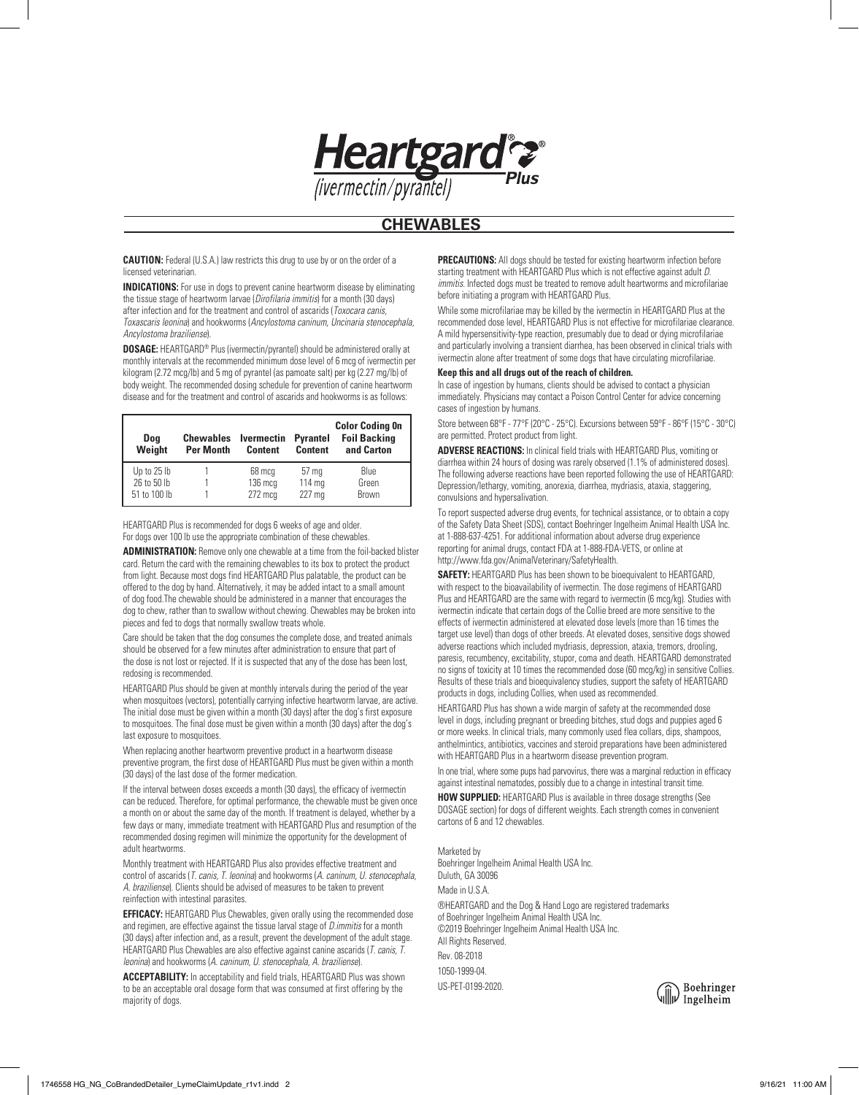

# **CHEWABLES**

**CAUTION:** Federal (U.S.A.) law restricts this drug to use by or on the order of a licensed veterinarian.

**INDICATIONS:** For use in dogs to prevent canine heartworm disease by eliminating the tissue stage of heartworm larvae (*Dirofilaria immitis*) for a month (30 days) after infection and for the treatment and control of ascarids (*Toxocara canis, Toxascaris leonina*) and hookworms (*Ancylostoma caninum, Uncinaria stenocephala, Ancylostoma braziliense*).

**DOSAGE:** HEARTGARD® Plus (ivermectin/pyrantel) should be administered orally at monthly intervals at the recommended minimum dose level of 6 mcg of ivermectin per kilogram (2.72 mcg/lb) and 5 mg of pyrantel (as pamoate salt) per kg (2.27 mg/lb) of body weight. The recommended dosing schedule for prevention of canine heartworm disease and for the treatment and control of ascarids and hookworms is as follows:

| Doa<br>Weight | <b>Chewables</b><br><b>Per Month</b> | <b>Ivermectin</b><br><b>Content</b> | <b>Pyrantel</b><br><b>Content</b> | <b>Color Coding On</b><br><b>Foil Backing</b><br>and Carton |
|---------------|--------------------------------------|-------------------------------------|-----------------------------------|-------------------------------------------------------------|
| Up to 25 lb   |                                      | 68 mcg                              | 57 <sub>mg</sub>                  | Blue                                                        |
| 26 to 50 lb   |                                      | $136 \text{ mcq}$                   | 114 mg                            | Green                                                       |
| 51 to 100 lb  |                                      | $272$ mcg                           | 227 <sub>mg</sub>                 | Brown                                                       |

HEARTGARD Plus is recommended for dogs 6 weeks of age and older. For dogs over 100 lb use the appropriate combination of these chewables.

**ADMINISTRATION:** Remove only one chewable at a time from the foil-backed blister card. Return the card with the remaining chewables to its box to protect the product from light. Because most dogs find HEARTGARD Plus palatable, the product can be offered to the dog by hand. Alternatively, it may be added intact to a small amount of dog food.The chewable should be administered in a manner that encourages the dog to chew, rather than to swallow without chewing. Chewables may be broken into pieces and fed to dogs that normally swallow treats whole.

Care should be taken that the dog consumes the complete dose, and treated animals should be observed for a few minutes after administration to ensure that part of the dose is not lost or rejected. If it is suspected that any of the dose has been lost, redosing is recommended.

HEARTGARD Plus should be given at monthly intervals during the period of the year when mosquitoes (vectors), potentially carrying infective heartworm larvae, are active. The initial dose must be given within a month (30 days) after the dog's first exposure to mosquitoes. The final dose must be given within a month (30 days) after the dog's last exposure to mosquitoes.

When replacing another heartworm preventive product in a heartworm disease preventive program, the first dose of HEARTGARD Plus must be given within a month (30 days) of the last dose of the former medication.

If the interval between doses exceeds a month (30 days), the efficacy of ivermectin can be reduced. Therefore, for optimal performance, the chewable must be given once a month on or about the same day of the month. If treatment is delayed, whether by a few days or many, immediate treatment with HEARTGARD Plus and resumption of the recommended dosing regimen will minimize the opportunity for the development of adult heartworms.

Monthly treatment with HEARTGARD Plus also provides effective treatment and control of ascarids (*T. canis, T. leonina*) and hookworms (*A. caninum, U. stenocephala, A. braziliense*). Clients should be advised of measures to be taken to prevent reinfection with intestinal parasites.

**EFFICACY:** HEARTGARD Plus Chewables, given orally using the recommended dose and regimen, are effective against the tissue larval stage of *D.immitis* for a month (30 days) after infection and, as a result, prevent the development of the adult stage. HEARTGARD Plus Chewables are also effective against canine ascarids (*T. canis, T. leonina*) and hookworms (*A. caninum, U. stenocephala, A. braziliense*).

**ACCEPTABILITY:** In acceptability and field trials, HEARTGARD Plus was shown to be an acceptable oral dosage form that was consumed at first offering by the majority of dogs.

**PRECAUTIONS:** All dogs should be tested for existing heartworm infection before starting treatment with HEARTGARD Plus which is not effective against adult *D. immitis.* Infected dogs must be treated to remove adult heartworms and microfilariae before initiating a program with HEARTGARD Plus.

While some microfilariae may be killed by the ivermectin in HEARTGARD Plus at the recommended dose level, HEARTGARD Plus is not effective for microfilariae clearance. A mild hypersensitivity-type reaction, presumably due to dead or dying microfilariae and particularly involving a transient diarrhea, has been observed in clinical trials with ivermectin alone after treatment of some dogs that have circulating microfilariae.

## **Keep this and all drugs out of the reach of children.**

In case of ingestion by humans, clients should be advised to contact a physician immediately. Physicians may contact a Poison Control Center for advice concerning cases of ingestion by humans.

Store between 68°F - 77°F (20°C - 25°C). Excursions between 59°F - 86°F (15°C - 30°C) are permitted. Protect product from light.

**ADVERSE REACTIONS:** In clinical field trials with HEARTGARD Plus, vomiting or diarrhea within 24 hours of dosing was rarely observed (1.1% of administered doses). The following adverse reactions have been reported following the use of HEARTGARD: Depression/lethargy, vomiting, anorexia, diarrhea, mydriasis, ataxia, staggering, convulsions and hypersalivation.

To report suspected adverse drug events, for technical assistance, or to obtain a copy of the Safety Data Sheet (SDS), contact Boehringer Ingelheim Animal Health USA Inc. at 1-888-637-4251. For additional information about adverse drug experience reporting for animal drugs, contact FDA at 1-888-FDA-VETS, or online at http://www.fda.gov/AnimalVeterinary/SafetyHealth.

**SAFETY:** HEARTGARD Plus has been shown to be bioequivalent to HEARTGARD, with respect to the bioavailability of ivermectin. The dose regimens of HEARTGARD Plus and HEARTGARD are the same with regard to ivermectin (6 mcg/kg). Studies with ivermectin indicate that certain dogs of the Collie breed are more sensitive to the effects of ivermectin administered at elevated dose levels (more than 16 times the target use level) than dogs of other breeds. At elevated doses, sensitive dogs showed adverse reactions which included mydriasis, depression, ataxia, tremors, drooling, paresis, recumbency, excitability, stupor, coma and death. HEARTGARD demonstrated no signs of toxicity at 10 times the recommended dose (60 mcg/kg) in sensitive Collies. Results of these trials and bioequivalency studies, support the safety of HEARTGARD products in dogs, including Collies, when used as recommended.

HEARTGARD Plus has shown a wide margin of safety at the recommended dose level in dogs, including pregnant or breeding bitches, stud dogs and puppies aged 6 or more weeks. In clinical trials, many commonly used flea collars, dips, shampoos, anthelmintics, antibiotics, vaccines and steroid preparations have been administered with HEARTGARD Plus in a heartworm disease prevention program.

In one trial, where some pups had parvovirus, there was a marginal reduction in efficacy against intestinal nematodes, possibly due to a change in intestinal transit time.

**HOW SUPPLIED:** HEARTGARD Plus is available in three dosage strengths (See DOSAGE section) for dogs of different weights. Each strength comes in convenient cartons of 6 and 12 chewables.

Marketed by Boehringer Ingelheim Animal Health USA Inc. Duluth, GA 30096 Made in U.S.A. ®HEARTGARD and the Dog & Hand Logo are registered trademarks of Boehringer Ingelheim Animal Health USA Inc. ©2019 Boehringer Ingelheim Animal Health USA Inc. All Rights Reserved. Rev. 08-2018 1050-1999-04. US-PET-0199-2020.